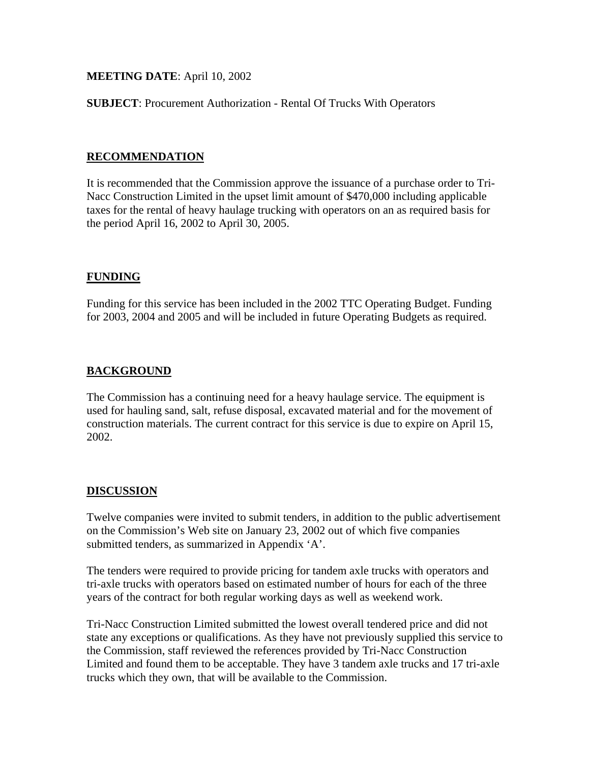# **MEETING DATE**: April 10, 2002

**SUBJECT**: Procurement Authorization - Rental Of Trucks With Operators

### **RECOMMENDATION**

It is recommended that the Commission approve the issuance of a purchase order to Tri-Nacc Construction Limited in the upset limit amount of \$470,000 including applicable taxes for the rental of heavy haulage trucking with operators on an as required basis for the period April 16, 2002 to April 30, 2005.

### **FUNDING**

Funding for this service has been included in the 2002 TTC Operating Budget. Funding for 2003, 2004 and 2005 and will be included in future Operating Budgets as required.

# **BACKGROUND**

The Commission has a continuing need for a heavy haulage service. The equipment is used for hauling sand, salt, refuse disposal, excavated material and for the movement of construction materials. The current contract for this service is due to expire on April 15, 2002.

#### **DISCUSSION**

Twelve companies were invited to submit tenders, in addition to the public advertisement on the Commission's Web site on January 23, 2002 out of which five companies submitted tenders, as summarized in Appendix 'A'.

The tenders were required to provide pricing for tandem axle trucks with operators and tri-axle trucks with operators based on estimated number of hours for each of the three years of the contract for both regular working days as well as weekend work.

Tri-Nacc Construction Limited submitted the lowest overall tendered price and did not state any exceptions or qualifications. As they have not previously supplied this service to the Commission, staff reviewed the references provided by Tri-Nacc Construction Limited and found them to be acceptable. They have 3 tandem axle trucks and 17 tri-axle trucks which they own, that will be available to the Commission.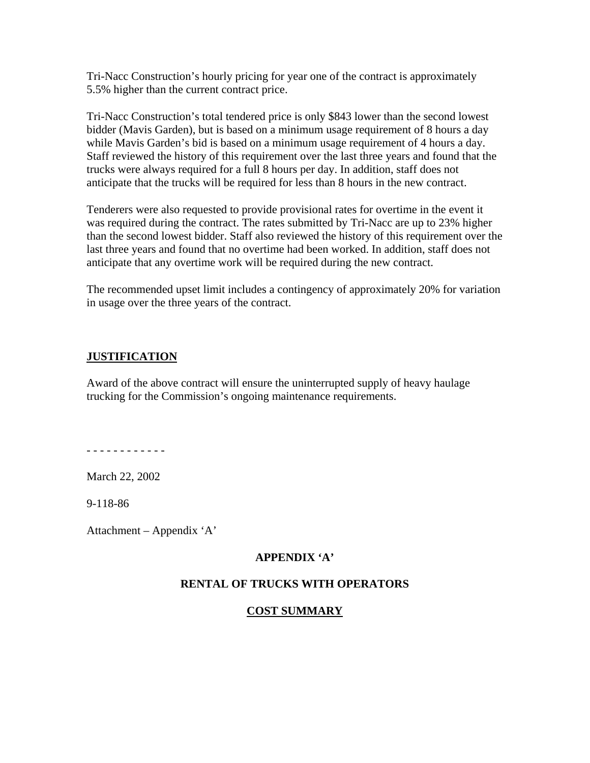Tri-Nacc Construction's hourly pricing for year one of the contract is approximately 5.5% higher than the current contract price.

Tri-Nacc Construction's total tendered price is only \$843 lower than the second lowest bidder (Mavis Garden), but is based on a minimum usage requirement of 8 hours a day while Mavis Garden's bid is based on a minimum usage requirement of 4 hours a day. Staff reviewed the history of this requirement over the last three years and found that the trucks were always required for a full 8 hours per day. In addition, staff does not anticipate that the trucks will be required for less than 8 hours in the new contract.

Tenderers were also requested to provide provisional rates for overtime in the event it was required during the contract. The rates submitted by Tri-Nacc are up to 23% higher than the second lowest bidder. Staff also reviewed the history of this requirement over the last three years and found that no overtime had been worked. In addition, staff does not anticipate that any overtime work will be required during the new contract.

The recommended upset limit includes a contingency of approximately 20% for variation in usage over the three years of the contract.

#### **JUSTIFICATION**

Award of the above contract will ensure the uninterrupted supply of heavy haulage trucking for the Commission's ongoing maintenance requirements.

- - - - - - - - - - - -

March 22, 2002

9-118-86

Attachment – Appendix 'A'

# **APPENDIX 'A'**

#### **RENTAL OF TRUCKS WITH OPERATORS**

# **COST SUMMARY**